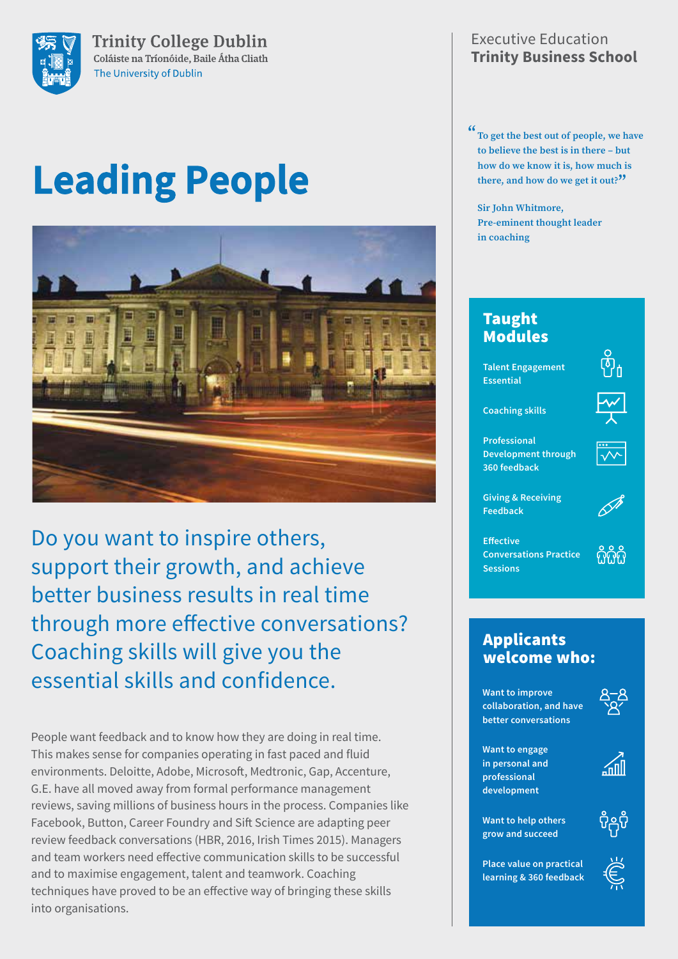

**Trinity College Dublin** Coláiste na Tríonóide, Baile Átha Cliath The University of Dublin

# **Leading People**



Do you want to inspire others, support their growth, and achieve better business results in real time through more effective conversations? Coaching skills will give you the essential skills and confidence.

People want feedback and to know how they are doing in real time. This makes sense for companies operating in fast paced and fluid environments. Deloitte, Adobe, Microsoft, Medtronic, Gap, Accenture, G.E. have all moved away from formal performance management reviews, saving millions of business hours in the process. Companies like Facebook, Button, Career Foundry and Sift Science are adapting peer review feedback conversations (HBR, 2016, Irish Times 2015). Managers and team workers need effective communication skills to be successful and to maximise engagement, talent and teamwork. Coaching techniques have proved to be an effective way of bringing these skills into organisations.

## Executive Education **Trinity Business School**

**" To get the best out of people, we have to believe the best is in there – but how do we know it is, how much is there, and how do we get it out?"**

**Sir John Whitmore, Pre-eminent thought leader in coaching**

# Taught Modules

**Talent Engagement Essential**



**Coaching skills**

**Professional Development through 360 feedback**



**Giving & Receiving Feedback**

**Effective Conversations Practice Sessions**



## Applicants welcome who:

**Want to improve collaboration, and have better conversations**



**Want to engage in personal and professional development**



**Want to help others grow and succeed**



ິ່ບິດຸຈິ

**Place value on practical learning & 360 feedback**